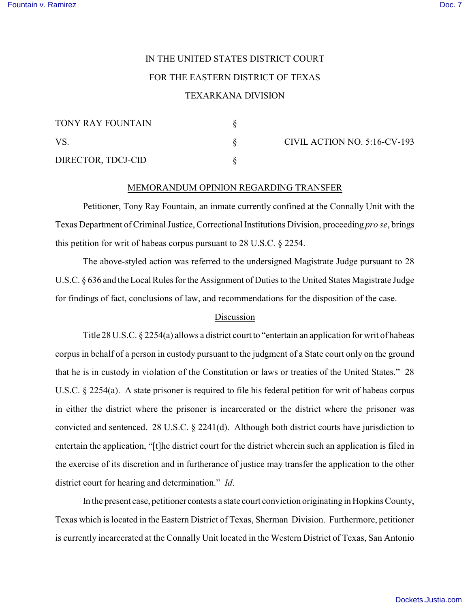## IN THE UNITED STATES DISTRICT COURT FOR THE EASTERN DISTRICT OF TEXAS TEXARKANA DIVISION

| TONY RAY FOUNTAIN  |  |
|--------------------|--|
| VS.                |  |
| DIRECTOR, TDCJ-CID |  |

CIVIL ACTION NO. 5:16-CV-193

## MEMORANDUM OPINION REGARDING TRANSFER

Petitioner, Tony Ray Fountain, an inmate currently confined at the Connally Unit with the Texas Department of Criminal Justice, Correctional Institutions Division, proceeding *pro se*, brings this petition for writ of habeas corpus pursuant to 28 U.S.C. § 2254.

The above-styled action was referred to the undersigned Magistrate Judge pursuant to 28 U.S.C. § 636 and the Local Rules for the Assignment of Duties to the United States Magistrate Judge for findings of fact, conclusions of law, and recommendations for the disposition of the case.

## Discussion

Title 28 U.S.C. § 2254(a) allows a district court to "entertain an application for writ of habeas corpus in behalf of a person in custody pursuant to the judgment of a State court only on the ground that he is in custody in violation of the Constitution or laws or treaties of the United States." 28 U.S.C. § 2254(a). A state prisoner is required to file his federal petition for writ of habeas corpus in either the district where the prisoner is incarcerated or the district where the prisoner was convicted and sentenced. 28 U.S.C. § 2241(d). Although both district courts have jurisdiction to entertain the application, "[t]he district court for the district wherein such an application is filed in the exercise of its discretion and in furtherance of justice may transfer the application to the other district court for hearing and determination." *Id*.

In the present case, petitioner contests a state court conviction originating in Hopkins County, Texas which is located in the Eastern District of Texas, Sherman Division. Furthermore, petitioner is currently incarcerated at the Connally Unit located in the Western District of Texas, San Antonio